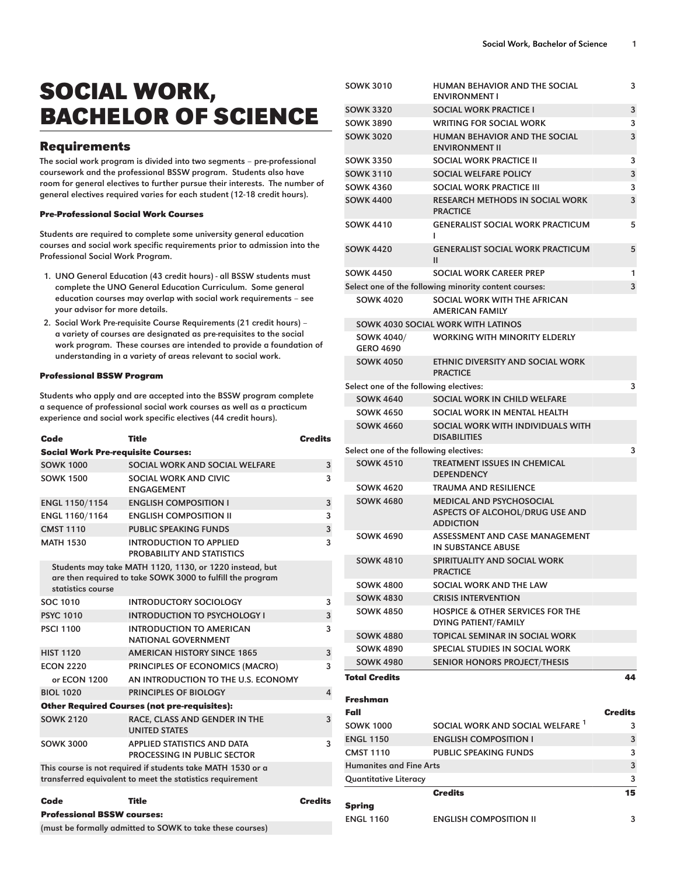# SOCIAL WORK, BACHELOR OF SCIENCE

## Requirements

The social work program is divided into two segments – pre-professional coursework and the professional BSSW program. Students also have room for general electives to further pursue their interests. The number of general electives required varies for each student (12-18 credit hours).

### Pre-Professional Social Work Courses

Students are required to complete some university general education courses and social work specific requirements prior to admission into the Professional Social Work Program.

- 1. UNO General Education (43 credit hours) all BSSW students must complete the UNO General Education Curriculum. Some general education courses may overlap with social work requirements – see your advisor for more details.
- 2. Social Work Pre-requisite Course Requirements (21 credit hours) a variety of courses are designated as pre-requisites to the social work program. These courses are intended to provide a foundation of understanding in a variety of areas relevant to social work.

#### Professional BSSW Program

Students who apply and are accepted into the BSSW program complete a sequence of professional social work courses as well as a practicum experience and social work specific electives (44 credit hours).

| Code                                                                                                                     | <b>Title</b>                                                                                                          |         |  |
|--------------------------------------------------------------------------------------------------------------------------|-----------------------------------------------------------------------------------------------------------------------|---------|--|
| <b>Social Work Pre-requisite Courses:</b>                                                                                |                                                                                                                       |         |  |
| <b>SOWK 1000</b>                                                                                                         | SOCIAL WORK AND SOCIAL WELFARE<br>3                                                                                   |         |  |
| <b>SOWK 1500</b>                                                                                                         | SOCIAL WORK AND CIVIC<br><b>FNGAGFMFNT</b>                                                                            |         |  |
| ENGL 1150/1154                                                                                                           | <b>ENGLISH COMPOSITION I</b>                                                                                          |         |  |
| ENGL 1160/1164                                                                                                           | <b>ENGLISH COMPOSITION II</b>                                                                                         | 3       |  |
| <b>CMST 1110</b>                                                                                                         | <b>PUBLIC SPEAKING FUNDS</b>                                                                                          | 3       |  |
| <b>MATH 1530</b>                                                                                                         | INTRODUCTION TO APPLIED<br>PROBABILITY AND STATISTICS                                                                 | 3       |  |
| statistics course                                                                                                        | Students may take MATH 1120, 1130, or 1220 instead, but<br>are then required to take SOWK 3000 to fulfill the program |         |  |
| SOC 1010                                                                                                                 | <b>INTRODUCTORY SOCIOLOGY</b>                                                                                         | 3       |  |
| <b>PSYC 1010</b>                                                                                                         | <b>INTRODUCTION TO PSYCHOLOGY I</b>                                                                                   | 3       |  |
| <b>PSCI 1100</b>                                                                                                         | INTRODUCTION TO AMFRICAN<br>NATIONAL GOVERNMENT                                                                       | 3       |  |
| <b>HIST 1120</b>                                                                                                         | <b>AMERICAN HISTORY SINCE 1865</b>                                                                                    | 3       |  |
| <b>FCON 2220</b>                                                                                                         | PRINCIPLES OF ECONOMICS (MACRO)                                                                                       | 3       |  |
| or ECON 1200                                                                                                             | AN INTRODUCTION TO THE U.S. ECONOMY                                                                                   |         |  |
| <b>BIOL 1020</b>                                                                                                         | PRINCIPLES OF BIOLOGY<br>4                                                                                            |         |  |
| <b>Other Required Courses (not pre-requisites):</b>                                                                      |                                                                                                                       |         |  |
| <b>SOWK 2120</b>                                                                                                         | RACE, CLASS AND GENDER IN THE<br><b>UNITED STATES</b>                                                                 | 3       |  |
| <b>SOWK 3000</b>                                                                                                         | <b>APPLIED STATISTICS AND DATA</b><br>PROCESSING IN PUBLIC SECTOR                                                     | 3       |  |
| This course is not required if students take MATH 1530 or a<br>transferred equivalent to meet the statistics requirement |                                                                                                                       |         |  |
| Code                                                                                                                     | Title                                                                                                                 | Credits |  |
| <b>Professional BSSW courses:</b>                                                                                        |                                                                                                                       |         |  |

(must be formally admitted to SOWK to take these courses)

| <b>JUWN JUIU</b>                            | <b>NUMAN DENAVION AND THE SOCIAL</b><br><b>ENVIRONMENT I</b>                           | J       |
|---------------------------------------------|----------------------------------------------------------------------------------------|---------|
| <b>SOWK 3320</b>                            | <b>SOCIAL WORK PRACTICE I</b>                                                          | 3       |
| <b>SOWK 3890</b>                            | <b>WRITING FOR SOCIAL WORK</b>                                                         |         |
| <b>SOWK 3020</b>                            | <b>HUMAN BEHAVIOR AND THE SOCIAL</b>                                                   |         |
|                                             | <b>ENVIRONMENT II</b>                                                                  | 3       |
| <b>SOWK 3350</b>                            | <b>SOCIAL WORK PRACTICE II</b>                                                         | 3       |
| <b>SOWK 3110</b>                            | SOCIAL WELFARE POLICY                                                                  | 3       |
| <b>SOWK 4360</b>                            | SOCIAL WORK PRACTICE III                                                               |         |
| <b>SOWK 4400</b>                            | <b>RESEARCH METHODS IN SOCIAL WORK</b><br><b>PRACTICE</b>                              |         |
| <b>SOWK 4410</b>                            | <b>GENERALIST SOCIAL WORK PRACTICUM</b><br>L                                           |         |
| <b>SOWK 4420</b>                            | <b>GENERALIST SOCIAL WORK PRACTICUM</b><br>$\mathbf{H}$                                | 5       |
| <b>SOWK 4450</b>                            | <b>SOCIAL WORK CAREER PREP</b>                                                         | 1       |
|                                             | Select one of the following minority content courses:                                  | 3       |
| <b>SOWK 4020</b>                            | SOCIAL WORK WITH THE AFRICAN<br><b>AMERICAN FAMILY</b>                                 |         |
|                                             | SOWK 4030 SOCIAL WORK WITH LATINOS                                                     |         |
| SOWK 4040/<br><b>GERO 4690</b>              | <b>WORKING WITH MINORITY ELDERLY</b>                                                   |         |
| <b>SOWK 4050</b>                            | ETHNIC DIVERSITY AND SOCIAL WORK<br><b>PRACTICE</b>                                    |         |
| Select one of the following electives:      |                                                                                        | 3       |
| <b>SOWK 4640</b>                            | SOCIAL WORK IN CHILD WELFARE                                                           |         |
| <b>SOWK 4650</b>                            | SOCIAL WORK IN MENTAL HEALTH                                                           |         |
| <b>SOWK 4660</b>                            | SOCIAL WORK WITH INDIVIDUALS WITH<br><b>DISABILITIES</b>                               |         |
| Select one of the following electives:<br>3 |                                                                                        |         |
| <b>SOWK 4510</b>                            | <b>TREATMENT ISSUES IN CHEMICAL</b><br><b>DEPENDENCY</b>                               |         |
| <b>SOWK 4620</b>                            | <b>TRAUMA AND RESILIENCE</b>                                                           |         |
| <b>SOWK 4680</b>                            | <b>MEDICAL AND PSYCHOSOCIAL</b><br>ASPECTS OF ALCOHOL/DRUG USE AND<br><b>ADDICTION</b> |         |
| SOWK 4690                                   | ASSESSMENT AND CASE MANAGEMENT<br><b>IN SUBSTANCE ABUSE</b>                            |         |
| <b>SOWK 4810</b>                            | <b>SPIRITUALITY AND SOCIAL WORK</b><br><b>PRACTICE</b>                                 |         |
| SOWK 4800                                   | SOCIAL WORK AND THE LAW                                                                |         |
| <b>SOWK 4830</b>                            | <b>CRISIS INTERVENTION</b>                                                             |         |
| <b>SOWK 4850</b>                            | <b>HOSPICE &amp; OTHER SERVICES FOR THE</b><br>DYING PATIENT/FAMILY                    |         |
| <b>SOWK 4880</b>                            | TOPICAL SEMINAR IN SOCIAL WORK                                                         |         |
| <b>SOWK 4890</b>                            | SPECIAL STUDIES IN SOCIAL WORK                                                         |         |
| <b>SOWK 4980</b>                            | <b>SENIOR HONORS PROJECT/THESIS</b>                                                    |         |
| <b>Total Credits</b>                        |                                                                                        | 44      |
| Freshman<br>Fall                            |                                                                                        | Credits |
| <b>SOWK 1000</b>                            | SOCIAL WORK AND SOCIAL WELFARE <sup>1</sup>                                            | 3       |
| <b>ENGL 1150</b>                            | <b>ENGLISH COMPOSITION I</b>                                                           | 3       |
| <b>CMST 1110</b>                            | <b>PUBLIC SPEAKING FUNDS</b>                                                           | 3       |
| <b>Humanites and Fine Arts</b>              |                                                                                        |         |
| <b>Quantitative Literacy</b>                |                                                                                        | 3       |
|                                             | <b>Credits</b>                                                                         | 15      |
| Spring                                      |                                                                                        |         |

ENGL 1160 ENGLISH COMPOSITION II 3

SOWK 3010 HUMAN BEHAVIOR AND THE SOCIAL

 $\overline{a}$